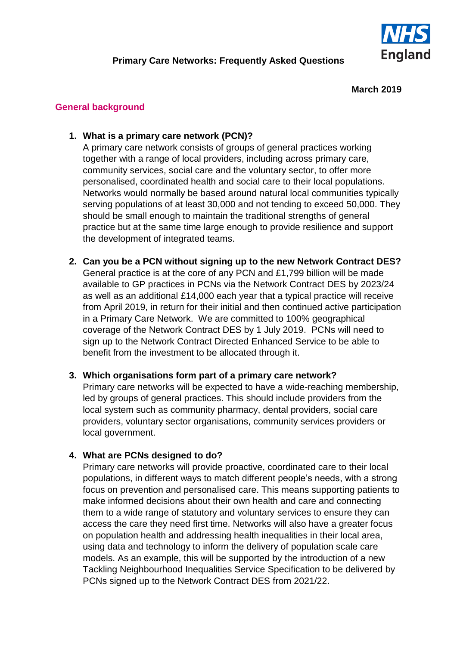

### **March 2019**

## **General background**

## **1. What is a primary care network (PCN)?**

A primary care network consists of groups of general practices working together with a range of local providers, including across primary care, community services, social care and the voluntary sector, to offer more personalised, coordinated health and social care to their local populations. Networks would normally be based around natural local communities typically serving populations of at least 30,000 and not tending to exceed 50,000. They should be small enough to maintain the traditional strengths of general practice but at the same time large enough to provide resilience and support the development of integrated teams.

**2. Can you be a PCN without signing up to the new Network Contract DES?** General practice is at the core of any PCN and £1,799 billion will be made available to GP practices in PCNs via the Network Contract DES by 2023/24 as well as an additional £14,000 each year that a typical practice will receive from April 2019, in return for their initial and then continued active participation in a Primary Care Network. We are committed to 100% geographical coverage of the Network Contract DES by 1 July 2019. PCNs will need to sign up to the Network Contract Directed Enhanced Service to be able to benefit from the investment to be allocated through it.

# **3. Which organisations form part of a primary care network?**

Primary care networks will be expected to have a wide-reaching membership, led by groups of general practices. This should include providers from the local system such as community pharmacy, dental providers, social care providers, voluntary sector organisations, community services providers or local government.

# **4. What are PCNs designed to do?**

Primary care networks will provide proactive, coordinated care to their local populations, in different ways to match different people's needs, with a strong focus on prevention and personalised care. This means supporting patients to make informed decisions about their own health and care and connecting them to a wide range of statutory and voluntary services to ensure they can access the care they need first time. Networks will also have a greater focus on population health and addressing health inequalities in their local area, using data and technology to inform the delivery of population scale care models. As an example, this will be supported by the introduction of a new Tackling Neighbourhood Inequalities Service Specification to be delivered by PCNs signed up to the Network Contract DES from 2021/22.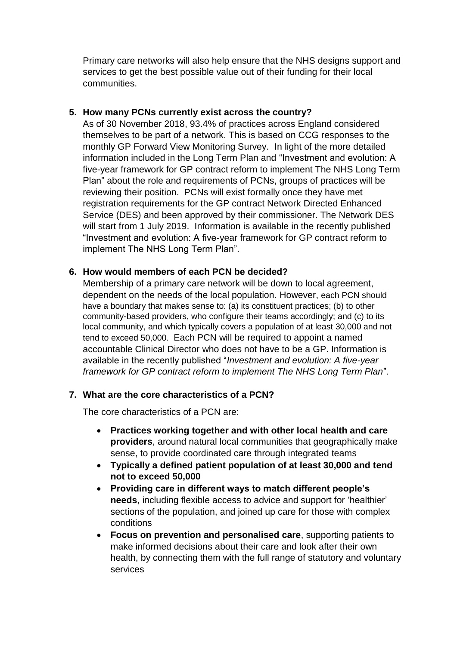Primary care networks will also help ensure that the NHS designs support and services to get the best possible value out of their funding for their local communities.

## **5. How many PCNs currently exist across the country?**

As of 30 November 2018, 93.4% of practices across England considered themselves to be part of a network. This is based on CCG responses to the monthly GP Forward View Monitoring Survey. In light of the more detailed information included in the Long Term Plan and "Investment and evolution: A five-year framework for GP contract reform to implement The NHS Long Term Plan" about the role and requirements of PCNs, groups of practices will be reviewing their position. PCNs will exist formally once they have met registration requirements for the GP contract Network Directed Enhanced Service (DES) and been approved by their commissioner. The Network DES will start from 1 July 2019. Information is available in the recently published "Investment and evolution: A five-year framework for GP contract reform to implement The NHS Long Term Plan".

## **6. How would members of each PCN be decided?**

Membership of a primary care network will be down to local agreement, dependent on the needs of the local population. However, each PCN should have a boundary that makes sense to: (a) its constituent practices; (b) to other community-based providers, who configure their teams accordingly; and (c) to its local community, and which typically covers a population of at least 30,000 and not tend to exceed 50,000. Each PCN will be required to appoint a named accountable Clinical Director who does not have to be a GP. Information is available in the recently published "*Investment and evolution: A five-year framework for GP contract reform to implement The NHS Long Term Plan*".

# **7. What are the core characteristics of a PCN?**

The core characteristics of a PCN are:

- **Practices working together and with other local health and care providers**, around natural local communities that geographically make sense, to provide coordinated care through integrated teams
- **Typically a defined patient population of at least 30,000 and tend not to exceed 50,000**
- **Providing care in different ways to match different people's needs**, including flexible access to advice and support for 'healthier' sections of the population, and joined up care for those with complex conditions
- **Focus on prevention and personalised care**, supporting patients to make informed decisions about their care and look after their own health, by connecting them with the full range of statutory and voluntary services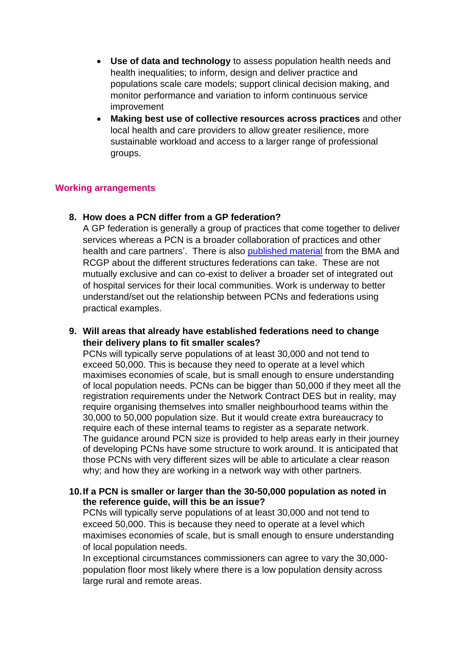- **Use of data and technology** to assess population health needs and health inequalities; to inform, design and deliver practice and populations scale care models; support clinical decision making, and monitor performance and variation to inform continuous service improvement
- **Making best use of collective resources across practices** and other local health and care providers to allow greater resilience, more sustainable workload and access to a larger range of professional groups.

## **Working arrangements**

### **8. How does a PCN differ from a GP federation?**

A GP federation is generally a group of practices that come together to deliver services whereas a PCN is a broader collaboration of practices and other health and care partners'. There is also [published material](https://www.rcgp.org.uk/clinical-and-research/our-programmes/general-practice-at-scale.aspx) from the BMA and RCGP about the different structures federations can take. These are not mutually exclusive and can co-exist to deliver a broader set of integrated out of hospital services for their local communities. Work is underway to better understand/set out the relationship between PCNs and federations using practical examples.

**9. Will areas that already have established federations need to change their delivery plans to fit smaller scales?**

PCNs will typically serve populations of at least 30,000 and not tend to exceed 50,000. This is because they need to operate at a level which maximises economies of scale, but is small enough to ensure understanding of local population needs. PCNs can be bigger than 50,000 if they meet all the registration requirements under the Network Contract DES but in reality, may require organising themselves into smaller neighbourhood teams within the 30,000 to 50,000 population size. But it would create extra bureaucracy to require each of these internal teams to register as a separate network. The guidance around PCN size is provided to help areas early in their journey of developing PCNs have some structure to work around. It is anticipated that those PCNs with very different sizes will be able to articulate a clear reason why; and how they are working in a network way with other partners.

## **10.If a PCN is smaller or larger than the 30-50,000 population as noted in the reference guide, will this be an issue?**

PCNs will typically serve populations of at least 30,000 and not tend to exceed 50,000. This is because they need to operate at a level which maximises economies of scale, but is small enough to ensure understanding of local population needs.

In exceptional circumstances commissioners can agree to vary the 30,000 population floor most likely where there is a low population density across large rural and remote areas.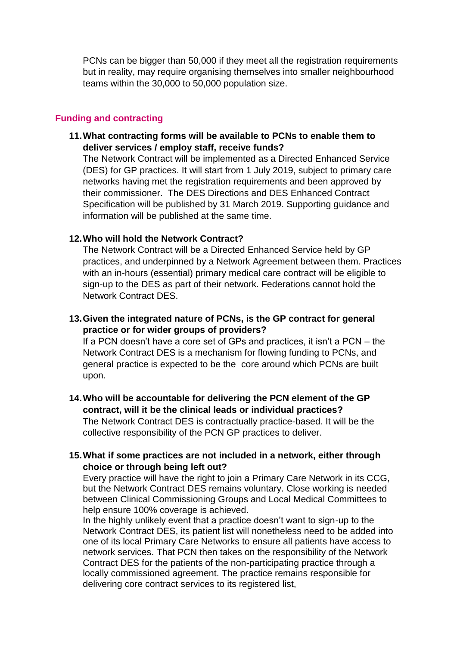PCNs can be bigger than 50,000 if they meet all the registration requirements but in reality, may require organising themselves into smaller neighbourhood teams within the 30,000 to 50,000 population size.

#### **Funding and contracting**

**11.What contracting forms will be available to PCNs to enable them to deliver services / employ staff, receive funds?**

The Network Contract will be implemented as a Directed Enhanced Service (DES) for GP practices. It will start from 1 July 2019, subject to primary care networks having met the registration requirements and been approved by their commissioner. The DES Directions and DES Enhanced Contract Specification will be published by 31 March 2019. Supporting guidance and information will be published at the same time.

#### **12.Who will hold the Network Contract?**

The Network Contract will be a Directed Enhanced Service held by GP practices, and underpinned by a Network Agreement between them. Practices with an in-hours (essential) primary medical care contract will be eligible to sign-up to the DES as part of their network. Federations cannot hold the Network Contract DES.

**13.Given the integrated nature of PCNs, is the GP contract for general practice or for wider groups of providers?**

If a PCN doesn't have a core set of GPs and practices, it isn't a PCN – the Network Contract DES is a mechanism for flowing funding to PCNs, and general practice is expected to be the core around which PCNs are built upon.

**14.Who will be accountable for delivering the PCN element of the GP contract, will it be the clinical leads or individual practices?** The Network Contract DES is contractually practice-based. It will be the collective responsibility of the PCN GP practices to deliver.

### **15.What if some practices are not included in a network, either through choice or through being left out?**

Every practice will have the right to join a Primary Care Network in its CCG, but the Network Contract DES remains voluntary. Close working is needed between Clinical Commissioning Groups and Local Medical Committees to help ensure 100% coverage is achieved.

In the highly unlikely event that a practice doesn't want to sign-up to the Network Contract DES, its patient list will nonetheless need to be added into one of its local Primary Care Networks to ensure all patients have access to network services. That PCN then takes on the responsibility of the Network Contract DES for the patients of the non-participating practice through a locally commissioned agreement. The practice remains responsible for delivering core contract services to its registered list,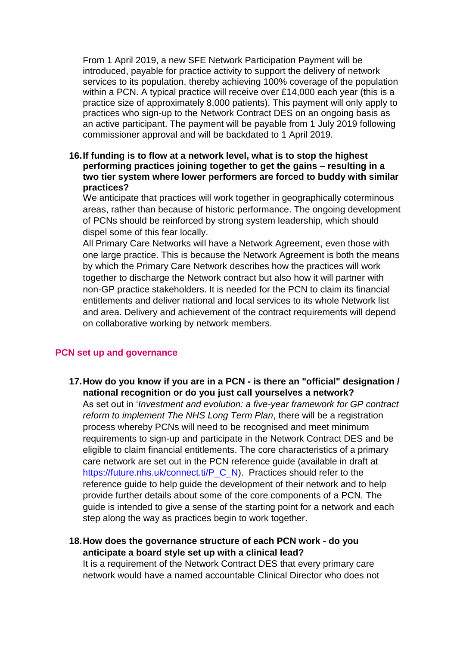From 1 April 2019, a new SFE Network Participation Payment will be introduced, payable for practice activity to support the delivery of network services to its population, thereby achieving 100% coverage of the population within a PCN. A typical practice will receive over £14,000 each year (this is a practice size of approximately 8,000 patients). This payment will only apply to practices who sign-up to the Network Contract DES on an ongoing basis as an active participant. The payment will be payable from 1 July 2019 following commissioner approval and will be backdated to 1 April 2019.

**16.If funding is to flow at a network level, what is to stop the highest performing practices joining together to get the gains – resulting in a two tier system where lower performers are forced to buddy with similar practices?**

We anticipate that practices will work together in geographically coterminous areas, rather than because of historic performance. The ongoing development of PCNs should be reinforced by strong system leadership, which should dispel some of this fear locally.

All Primary Care Networks will have a Network Agreement, even those with one large practice. This is because the Network Agreement is both the means by which the Primary Care Network describes how the practices will work together to discharge the Network contract but also how it will partner with non-GP practice stakeholders. It is needed for the PCN to claim its financial entitlements and deliver national and local services to its whole Network list and area. Delivery and achievement of the contract requirements will depend on collaborative working by network members.

#### **PCN set up and governance**

**17.How do you know if you are in a PCN - is there an "official" designation / national recognition or do you just call yourselves a network?** 

As set out in '*Investment and evolution: a five-year framework for GP contract reform to implement The NHS Long Term Plan*, there will be a registration process whereby PCNs will need to be recognised and meet minimum requirements to sign-up and participate in the Network Contract DES and be eligible to claim financial entitlements. The core characteristics of a primary care network are set out in the PCN reference guide (available in draft at [https://future.nhs.uk/connect.ti/P\\_C\\_N\)](https://future.nhs.uk/connect.ti/P_C_N). Practices should refer to the reference guide to help guide the development of their network and to help provide further details about some of the core components of a PCN. The guide is intended to give a sense of the starting point for a network and each step along the way as practices begin to work together.

## **18.How does the governance structure of each PCN work - do you anticipate a board style set up with a clinical lead?**

It is a requirement of the Network Contract DES that every primary care network would have a named accountable Clinical Director who does not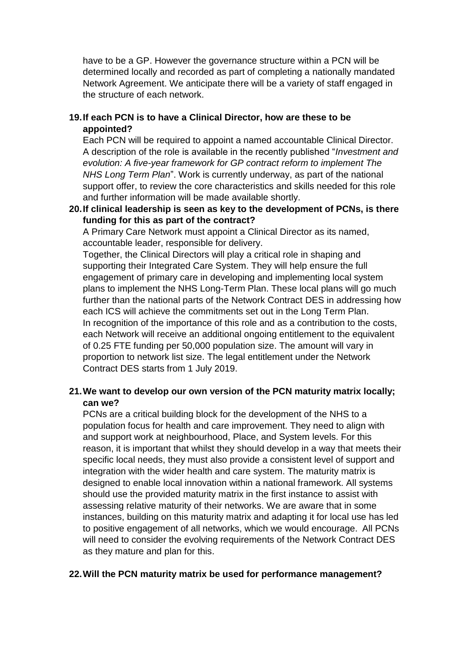have to be a GP. However the governance structure within a PCN will be determined locally and recorded as part of completing a nationally mandated Network Agreement. We anticipate there will be a variety of staff engaged in the structure of each network.

# **19.If each PCN is to have a Clinical Director, how are these to be appointed?**

Each PCN will be required to appoint a named accountable Clinical Director. A description of the role is available in the recently published "*Investment and evolution: A five-year framework for GP contract reform to implement The NHS Long Term Plan*". Work is currently underway, as part of the national support offer, to review the core characteristics and skills needed for this role and further information will be made available shortly.

**20.If clinical leadership is seen as key to the development of PCNs, is there funding for this as part of the contract?**

A Primary Care Network must appoint a Clinical Director as its named, accountable leader, responsible for delivery.

Together, the Clinical Directors will play a critical role in shaping and supporting their Integrated Care System. They will help ensure the full engagement of primary care in developing and implementing local system plans to implement the NHS Long-Term Plan. These local plans will go much further than the national parts of the Network Contract DES in addressing how each ICS will achieve the commitments set out in the Long Term Plan. In recognition of the importance of this role and as a contribution to the costs, each Network will receive an additional ongoing entitlement to the equivalent of 0.25 FTE funding per 50,000 population size. The amount will vary in proportion to network list size. The legal entitlement under the Network Contract DES starts from 1 July 2019.

# **21.We want to develop our own version of the PCN maturity matrix locally; can we?**

PCNs are a critical building block for the development of the NHS to a population focus for health and care improvement. They need to align with and support work at neighbourhood, Place, and System levels. For this reason, it is important that whilst they should develop in a way that meets their specific local needs, they must also provide a consistent level of support and integration with the wider health and care system. The maturity matrix is designed to enable local innovation within a national framework. All systems should use the provided maturity matrix in the first instance to assist with assessing relative maturity of their networks. We are aware that in some instances, building on this maturity matrix and adapting it for local use has led to positive engagement of all networks, which we would encourage. All PCNs will need to consider the evolving requirements of the Network Contract DES as they mature and plan for this.

### **22.Will the PCN maturity matrix be used for performance management?**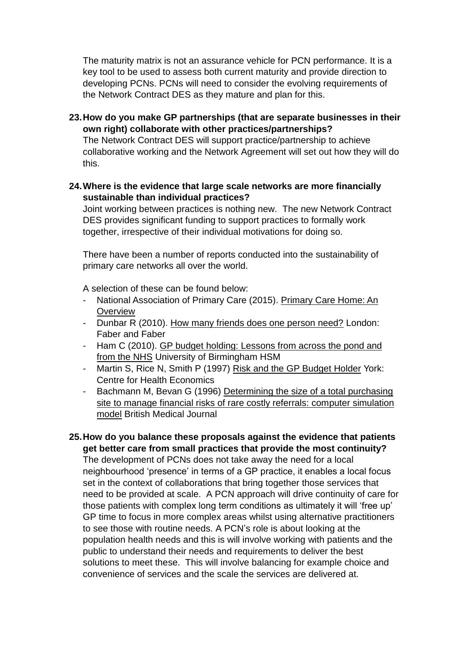The maturity matrix is not an assurance vehicle for PCN performance. It is a key tool to be used to assess both current maturity and provide direction to developing PCNs. PCNs will need to consider the evolving requirements of the Network Contract DES as they mature and plan for this.

**23.How do you make GP partnerships (that are separate businesses in their own right) collaborate with other practices/partnerships?**

The Network Contract DES will support practice/partnership to achieve collaborative working and the Network Agreement will set out how they will do this.

**24.Where is the evidence that large scale networks are more financially sustainable than individual practices?**

Joint working between practices is nothing new. The new Network Contract DES provides significant funding to support practices to formally work together, irrespective of their individual motivations for doing so.

There have been a number of reports conducted into the sustainability of primary care networks all over the world.

A selection of these can be found below:

- National Association of Primary Care (2015). Primary Care Home: An **Overview**
- Dunbar R (2010). How many friends does one person need? London: Faber and Faber
- Ham C (2010). GP budget holding: Lessons from across the pond and from the NHS University of Birmingham HSM
- Martin S, Rice N, Smith P (1997) Risk and the GP Budget Holder York: Centre for Health Economics
- Bachmann M, Bevan G (1996) Determining the size of a total purchasing site to manage financial risks of rare costly referrals: computer simulation model British Medical Journal
- **25.How do you balance these proposals against the evidence that patients get better care from small practices that provide the most continuity?**

The development of PCNs does not take away the need for a local neighbourhood 'presence' in terms of a GP practice, it enables a local focus set in the context of collaborations that bring together those services that need to be provided at scale. A PCN approach will drive continuity of care for those patients with complex long term conditions as ultimately it will 'free up' GP time to focus in more complex areas whilst using alternative practitioners to see those with routine needs. A PCN's role is about looking at the population health needs and this is will involve working with patients and the public to understand their needs and requirements to deliver the best solutions to meet these. This will involve balancing for example choice and convenience of services and the scale the services are delivered at.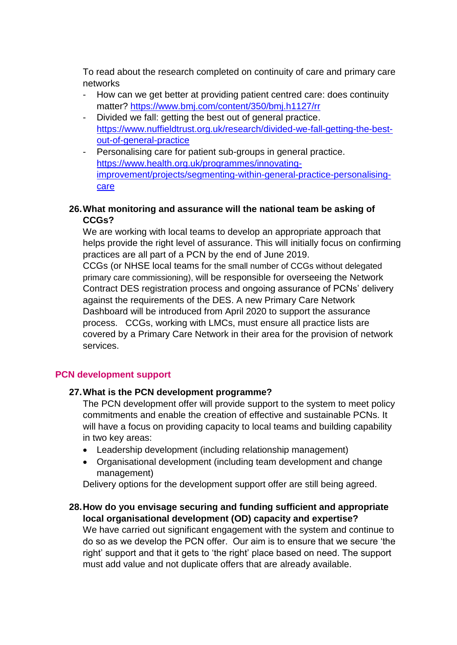To read about the research completed on continuity of care and primary care networks

- How can we get better at providing patient centred care: does continuity matter? <https://www.bmj.com/content/350/bmj.h1127/rr>
- Divided we fall: getting the best out of general practice. [https://www.nuffieldtrust.org.uk/research/divided-we-fall-getting-the-best](https://www.nuffieldtrust.org.uk/research/divided-we-fall-getting-the-best-out-of-general-practice)[out-of-general-practice](https://www.nuffieldtrust.org.uk/research/divided-we-fall-getting-the-best-out-of-general-practice)
- Personalising care for patient sub-groups in general practice. [https://www.health.org.uk/programmes/innovating](https://www.health.org.uk/programmes/innovating-improvement/projects/segmenting-within-general-practice-personalising-care)[improvement/projects/segmenting-within-general-practice-personalising](https://www.health.org.uk/programmes/innovating-improvement/projects/segmenting-within-general-practice-personalising-care)[care](https://www.health.org.uk/programmes/innovating-improvement/projects/segmenting-within-general-practice-personalising-care)

# **26.What monitoring and assurance will the national team be asking of CCGs?**

We are working with local teams to develop an appropriate approach that helps provide the right level of assurance. This will initially focus on confirming practices are all part of a PCN by the end of June 2019.

CCGs (or NHSE local teams for the small number of CCGs without delegated primary care commissioning), will be responsible for overseeing the Network Contract DES registration process and ongoing assurance of PCNs' delivery against the requirements of the DES. A new Primary Care Network Dashboard will be introduced from April 2020 to support the assurance process. CCGs, working with LMCs, must ensure all practice lists are covered by a Primary Care Network in their area for the provision of network services.

# **PCN development support**

# **27.What is the PCN development programme?**

The PCN development offer will provide support to the system to meet policy commitments and enable the creation of effective and sustainable PCNs. It will have a focus on providing capacity to local teams and building capability in two key areas:

- Leadership development (including relationship management)
- Organisational development (including team development and change management)

Delivery options for the development support offer are still being agreed.

## **28.How do you envisage securing and funding sufficient and appropriate local organisational development (OD) capacity and expertise?**

We have carried out significant engagement with the system and continue to do so as we develop the PCN offer. Our aim is to ensure that we secure 'the right' support and that it gets to 'the right' place based on need. The support must add value and not duplicate offers that are already available.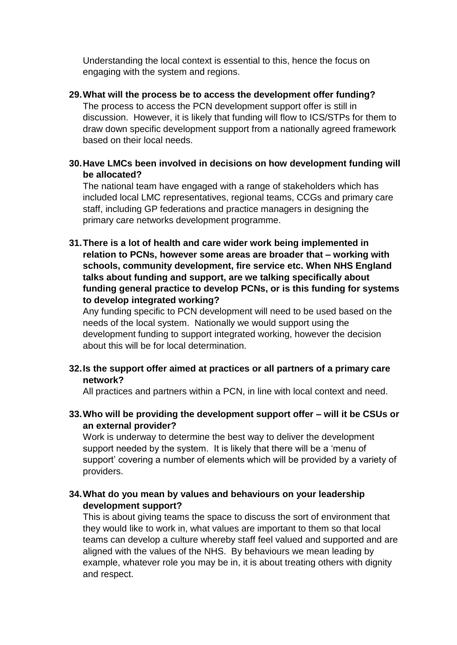Understanding the local context is essential to this, hence the focus on engaging with the system and regions.

- **29.What will the process be to access the development offer funding?** The process to access the PCN development support offer is still in discussion. However, it is likely that funding will flow to ICS/STPs for them to draw down specific development support from a nationally agreed framework based on their local needs.
- **30.Have LMCs been involved in decisions on how development funding will be allocated?**

The national team have engaged with a range of stakeholders which has included local LMC representatives, regional teams, CCGs and primary care staff, including GP federations and practice managers in designing the primary care networks development programme.

**31.There is a lot of health and care wider work being implemented in relation to PCNs, however some areas are broader that – working with schools, community development, fire service etc. When NHS England talks about funding and support, are we talking specifically about funding general practice to develop PCNs, or is this funding for systems to develop integrated working?** 

Any funding specific to PCN development will need to be used based on the needs of the local system. Nationally we would support using the development funding to support integrated working, however the decision about this will be for local determination.

**32.Is the support offer aimed at practices or all partners of a primary care network?**

All practices and partners within a PCN, in line with local context and need.

**33.Who will be providing the development support offer – will it be CSUs or an external provider?**

Work is underway to determine the best way to deliver the development support needed by the system. It is likely that there will be a 'menu of support' covering a number of elements which will be provided by a variety of providers.

# **34.What do you mean by values and behaviours on your leadership development support?**

This is about giving teams the space to discuss the sort of environment that they would like to work in, what values are important to them so that local teams can develop a culture whereby staff feel valued and supported and are aligned with the values of the NHS. By behaviours we mean leading by example, whatever role you may be in, it is about treating others with dignity and respect.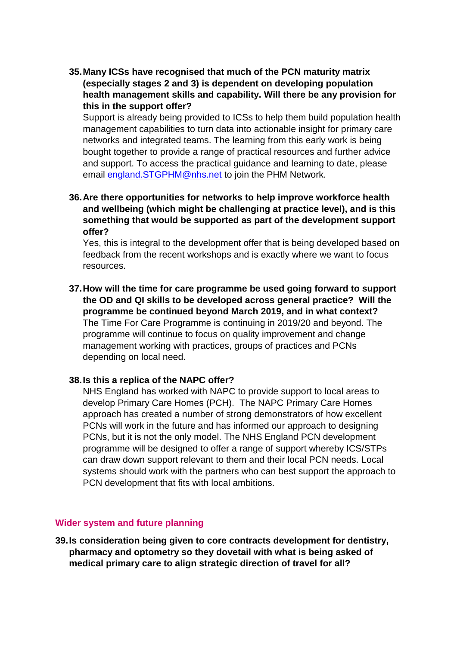**35.Many ICSs have recognised that much of the PCN maturity matrix (especially stages 2 and 3) is dependent on developing population health management skills and capability. Will there be any provision for this in the support offer?** 

Support is already being provided to ICSs to help them build population health management capabilities to turn data into actionable insight for primary care networks and integrated teams. The learning from this early work is being bought together to provide a range of practical resources and further advice and support. To access the practical guidance and learning to date, please email [england.STGPHM@nhs.net](mailto:england.STGPHM@nhs.net) to join the PHM Network.

**36.Are there opportunities for networks to help improve workforce health and wellbeing (which might be challenging at practice level), and is this something that would be supported as part of the development support offer?**

Yes, this is integral to the development offer that is being developed based on feedback from the recent workshops and is exactly where we want to focus resources.

**37.How will the time for care programme be used going forward to support the OD and QI skills to be developed across general practice? Will the programme be continued beyond March 2019, and in what context?** The Time For Care Programme is continuing in 2019/20 and beyond. The programme will continue to focus on quality improvement and change management working with practices, groups of practices and PCNs depending on local need.

### **38.Is this a replica of the NAPC offer?**

NHS England has worked with NAPC to provide support to local areas to develop Primary Care Homes (PCH). The NAPC Primary Care Homes approach has created a number of strong demonstrators of how excellent PCNs will work in the future and has informed our approach to designing PCNs, but it is not the only model. The NHS England PCN development programme will be designed to offer a range of support whereby ICS/STPs can draw down support relevant to them and their local PCN needs. Local systems should work with the partners who can best support the approach to PCN development that fits with local ambitions.

#### **Wider system and future planning**

**39.Is consideration being given to core contracts development for dentistry, pharmacy and optometry so they dovetail with what is being asked of medical primary care to align strategic direction of travel for all?**